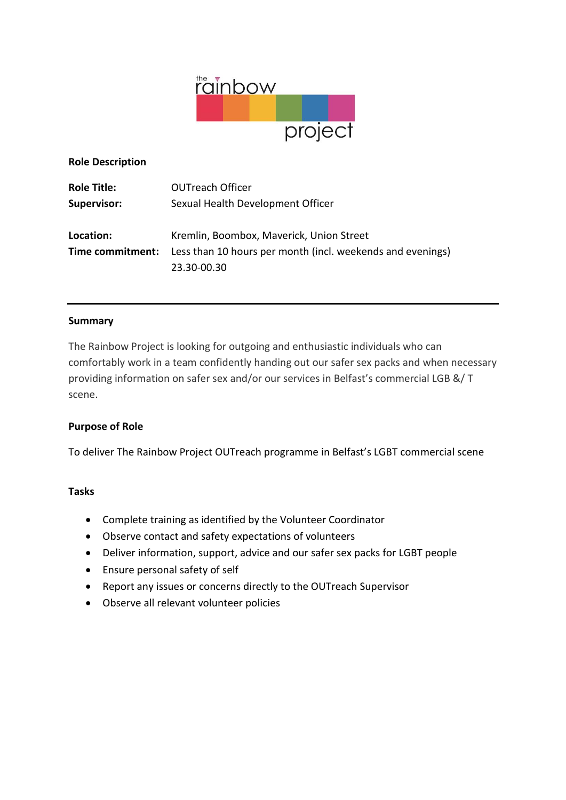

**Role Description**

| <b>Role Title:</b> | <b>OUTreach Officer</b>                                    |
|--------------------|------------------------------------------------------------|
| <b>Supervisor:</b> | Sexual Health Development Officer                          |
|                    |                                                            |
| Location:          | Kremlin, Boombox, Maverick, Union Street                   |
| Time commitment:   | Less than 10 hours per month (incl. weekends and evenings) |
|                    | 23.30-00.30                                                |

### **Summary**

The Rainbow Project is looking for outgoing and enthusiastic individuals who can comfortably work in a team confidently handing out our safer sex packs and when necessary providing information on safer sex and/or our services in Belfast's commercial LGB &/ T scene.

### **Purpose of Role**

To deliver The Rainbow Project OUTreach programme in Belfast's LGBT commercial scene

#### **Tasks**

- Complete training as identified by the Volunteer Coordinator
- Observe contact and safety expectations of volunteers
- Deliver information, support, advice and our safer sex packs for LGBT people
- Ensure personal safety of self
- Report any issues or concerns directly to the OUTreach Supervisor
- Observe all relevant volunteer policies